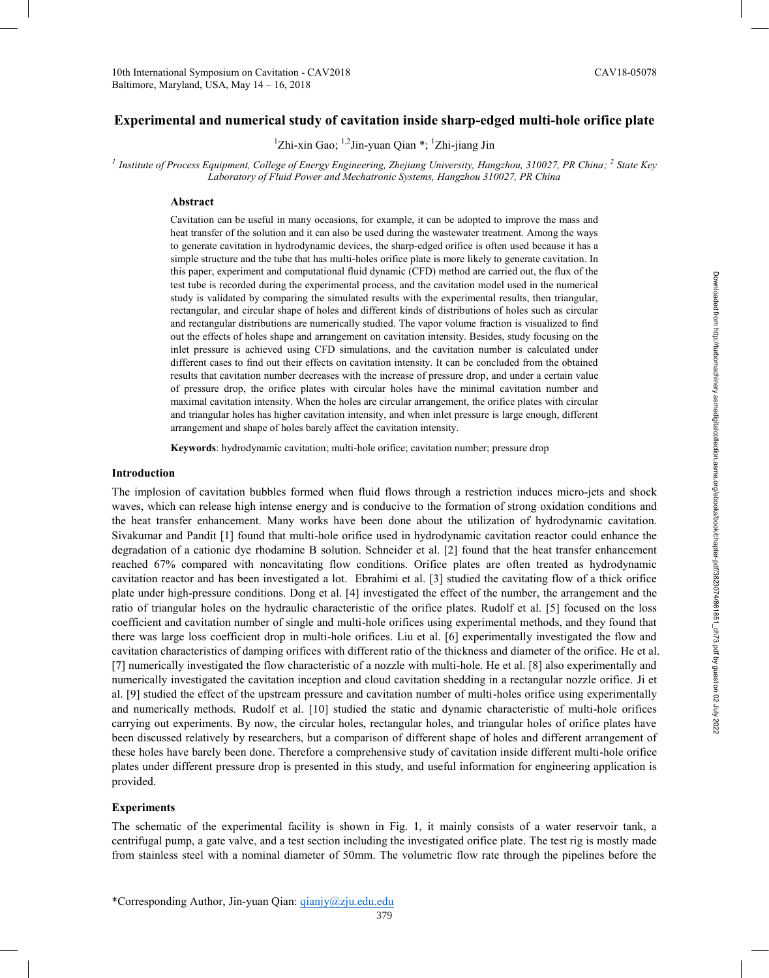# Experimental and numerical study of cavitation inside sharp-edged multi-hole orifice plate

<sup>1</sup>Zhi-xin Gao; <sup>1,2</sup>Jin-yuan Qian \*; <sup>1</sup>Zhi-jiang Jin

<sup>1</sup> Institute of Process Equipment, College of Energy Engineering, Zhejiang University, Hangzhou, 310027, PR China; <sup>2</sup> State Key Laboratory of Fluid Power and Mechatronic Systems, Hangzhou 310027, PR China

## Abstract

Cavitation can be useful in many occasions, for example, it can be adopted to improve the mass and heat transfer of the solution and it can also be used during the wastewater treatment. Among the ways to generate cavitation in hydrodynamic devices, the sharp-edged orifice is often used because it has a simple structure and the tube that has multi-holes orifice plate is more likely to generate cavitation. In this paper, experiment and computational fluid dynamic (CFD) method are carried out, the flux of the test tube is recorded during the experimental process, and the cavitation model used in the numerical study is validated by comparing the simulated results with the experimental results, then triangular, rectangular, and circular shape of holes and different kinds of distributions of holes such as circular and rectangular distributions are numerically studied. The vapor volume fraction is visualized to find out the effects of holes shape and arrangement on cavitation intensity. Besides, study focusing on the inlet pressure is achieved using CFD simulations, and the cavitation number is calculated under different cases to find out their effects on cavitation intensity. It can be concluded from the obtained results that cavitation number decreases with the increase of pressure drop, and under a certain value of pressure drop, the orifice plates with circular holes have the minimal cavitation number and maximal cavitation intensity. When the holes are circular arrangement, the orifice plates with circular and triangular holes has higher cavitation intensity, and when inlet pressure is large enough, different arrangement and shape of holes barely affect the cavitation intensity.

Keywords: hydrodynamic cavitation; multi-hole orifice; cavitation number; pressure drop

## **Introduction**

The implosion of cavitation bubbles formed when fluid flows through a restriction induces micro-jets and shock waves, which can release high intense energy and is conducive to the formation of strong oxidation conditions and the heat transfer enhancement. Many works have been done about the utilization of hydrodynamic cavitation. Sivakumar and Pandit [1] found that multi-hole orifice used in hydrodynamic cavitation reactor could enhance the degradation of a cationic dye rhodamine B solution. Schneider et al. [2] found that the heat transfer enhancement reached 67% compared with noncavitating flow conditions. Orifice plates are often treated as hydrodynamic cavitation reactor and has been investigated a lot. Ebrahimi et al. [3] studied the cavitating flow of a thick orifice plate under high-pressure conditions. Dong et al. [4] investigated the effect of the number, the arrangement and the ratio of triangular holes on the hydraulic characteristic of the orifice plates. Rudolf et al. [5] focused on the loss coefficient and cavitation number of single and multi-hole orifices using experimental methods, and they found that there was large loss coefficient drop in multi-hole orifices. Liu et al. [6] experimentally investigated the flow and cavitation characteristics of damping orifices with different ratio of the thickness and diameter of the orifice. He et al. [7] numerically investigated the flow characteristic of a nozzle with multi-hole. He et al. [8] also experimentally and numerically investigated the cavitation inception and cloud cavitation shedding in a rectangular nozzle orifice. Ji et al. [9] studied the effect of the upstream pressure and cavitation number of multi-holes orifice using experimentally and numerically methods. Rudolf et al. [10] studied the static and dynamic characteristic of multi-hole orifices carrying out experiments. By now, the circular holes, rectangular holes, and triangular holes of orifice plates have been discussed relatively by researchers, but a comparison of different shape of holes and different arrangement of these holes have barely been done. Therefore a comprehensive study of cavitation inside different multi-hole orifice plates under different pressure drop is presented in this study, and useful information for engineering application is provided.

# **Experiments**

The schematic of the experimental facility is shown in Fig. 1, it mainly consists of a water reservoir tank, a centrifugal pump, a gate valve, and a test section including the investigated orifice plate. The test rig is mostly made from stainless steel with a nominal diameter of 50mm. The volumetric flow rate through the pipelines before the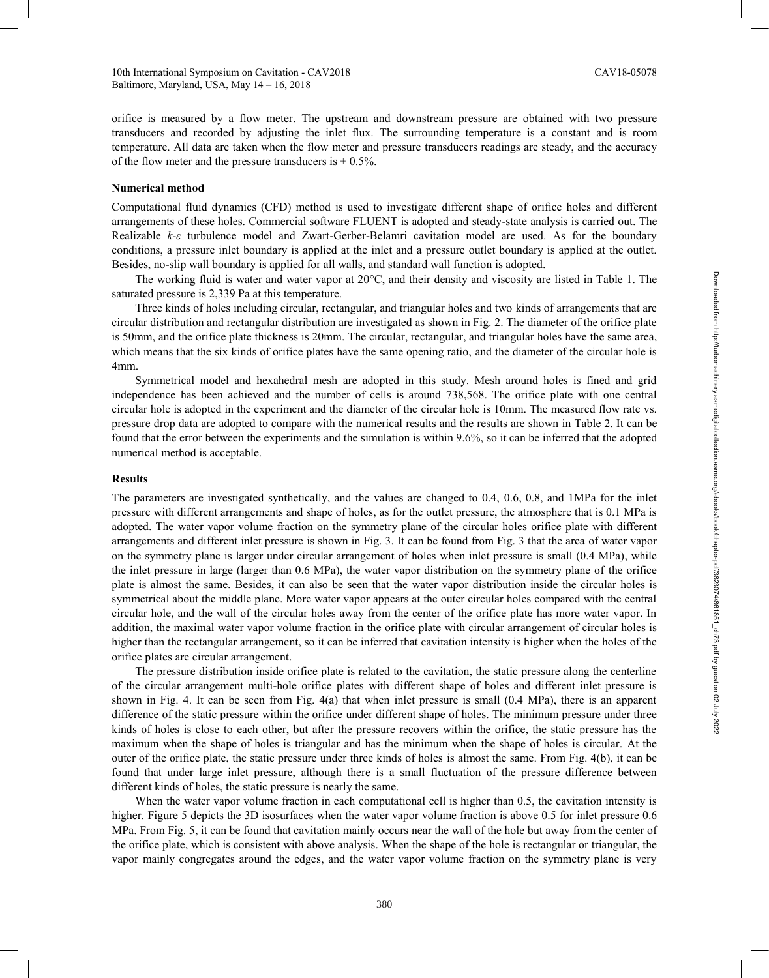orifice is measured by a flow meter. The upstream and downstream pressure are obtained with two pressure transducers and recorded by adjusting the inlet flux. The surrounding temperature is a constant and is room temperature. All data are taken when the flow meter and pressure transducers readings are steady, and the accuracy of the flow meter and the pressure transducers is  $\pm$  0.5%.

## **Numerical method**

Computational fluid dynamics (CFD) method is used to investigate different shape of orifice holes and different arrangements of these holes. Commercial software FLUENT is adopted and steady-state analysis is carried out. The Realizable *k-ε* turbulence model and Zwart-Gerber-Belamri cavitation model are used. As for the boundary conditions, a pressure inlet boundary is applied at the inlet and a pressure outlet boundary is applied at the outlet. Besides, no-slip wall boundary is applied for all walls, and standard wall function is adopted.

The working fluid is water and water vapor at 20°C, and their density and viscosity are listed in Table 1. The saturated pressure is 2,339 Pa at this temperature.

Three kinds of holes including circular, rectangular, and triangular holes and two kinds of arrangements that are circular distribution and rectangular distribution are investigated as shown in Fig. 2. The diameter of the orifice plate is 50mm, and the orifice plate thickness is 20mm. The circular, rectangular, and triangular holes have the same area, which means that the six kinds of orifice plates have the same opening ratio, and the diameter of the circular hole is 4mm.

Symmetrical model and hexahedral mesh are adopted in this study. Mesh around holes is fined and grid independence has been achieved and the number of cells is around 738,568. The orifice plate with one central circular hole is adopted in the experiment and the diameter of the circular hole is 10mm. The measured flow rate vs. pressure drop data are adopted to compare with the numerical results and the results are shown in Table 2. It can be found that the error between the experiments and the simulation is within 9.6%, so it can be inferred that the adopted numerical method is acceptable.

#### **Results**

The parameters are investigated synthetically, and the values are changed to 0.4, 0.6, 0.8, and 1MPa for the inlet pressure with different arrangements and shape of holes, as for the outlet pressure, the atmosphere that is 0.1 MPa is adopted. The water vapor volume fraction on the symmetry plane of the circular holes orifice plate with different arrangements and different inlet pressure is shown in Fig. 3. It can be found from Fig. 3 that the area of water vapor on the symmetry plane is larger under circular arrangement of holes when inlet pressure is small (0.4 MPa), while the inlet pressure in large (larger than 0.6 MPa), the water vapor distribution on the symmetry plane of the orifice plate is almost the same. Besides, it can also be seen that the water vapor distribution inside the circular holes is symmetrical about the middle plane. More water vapor appears at the outer circular holes compared with the central circular hole, and the wall of the circular holes away from the center of the orifice plate has more water vapor. In addition, the maximal water vapor volume fraction in the orifice plate with circular arrangement of circular holes is higher than the rectangular arrangement, so it can be inferred that cavitation intensity is higher when the holes of the orifice plates are circular arrangement.

The pressure distribution inside orifice plate is related to the cavitation, the static pressure along the centerline of the circular arrangement multi-hole orifice plates with different shape of holes and different inlet pressure is shown in Fig. 4. It can be seen from Fig. 4(a) that when inlet pressure is small (0.4 MPa), there is an apparent difference of the static pressure within the orifice under different shape of holes. The minimum pressure under three kinds of holes is close to each other, but after the pressure recovers within the orifice, the static pressure has the maximum when the shape of holes is triangular and has the minimum when the shape of holes is circular. At the outer of the orifice plate, the static pressure under three kinds of holes is almost the same. From Fig. 4(b), it can be found that under large inlet pressure, although there is a small fluctuation of the pressure difference between different kinds of holes, the static pressure is nearly the same.

When the water vapor volume fraction in each computational cell is higher than 0.5, the cavitation intensity is higher. Figure 5 depicts the 3D isosurfaces when the water vapor volume fraction is above 0.5 for inlet pressure 0.6 MPa. From Fig. 5, it can be found that cavitation mainly occurs near the wall of the hole but away from the center of the orifice plate, which is consistent with above analysis. When the shape of the hole is rectangular or triangular, the vapor mainly congregates around the edges, and the water vapor volume fraction on the symmetry plane is very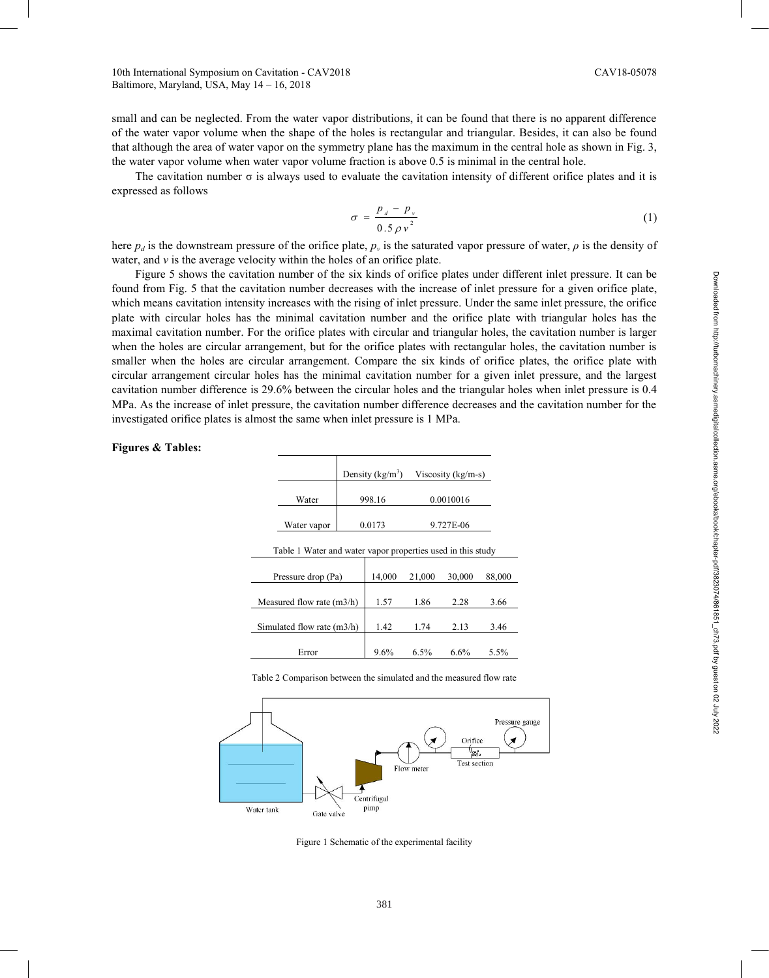small and can be neglected. From the water vapor distributions, it can be found that there is no apparent difference of the water vapor volume when the shape of the holes is rectangular and triangular. Besides, it can also be found that although the area of water vapor on the symmetry plane has the maximum in the central hole as shown in Fig. 3, the water vapor volume when water vapor volume fraction is above 0.5 is minimal in the central hole.

The cavitation number  $\sigma$  is always used to evaluate the cavitation intensity of different orifice plates and it is expressed as follows

$$
\sigma = \frac{p_d - p_v}{0.5 \rho v^2} \tag{1}
$$

here  $p_d$  is the downstream pressure of the orifice plate,  $p_v$  is the saturated vapor pressure of water,  $\rho$  is the density of water, and  $\nu$  is the average velocity within the holes of an orifice plate.

Figure 5 shows the cavitation number of the six kinds of orifice plates under different inlet pressure. It can be found from Fig. 5 that the cavitation number decreases with the increase of inlet pressure for a given orifice plate, which means cavitation intensity increases with the rising of inlet pressure. Under the same inlet pressure, the orifice plate with circular holes has the minimal cavitation number and the orifice plate with triangular holes has the maximal cavitation number. For the orifice plates with circular and triangular holes, the cavitation number is larger when the holes are circular arrangement, but for the orifice plates with rectangular holes, the cavitation number is smaller when the holes are circular arrangement. Compare the six kinds of orifice plates, the orifice plate with circular arrangement circular holes has the minimal cavitation number for a given inlet pressure, and the largest cavitation number difference is 29.6% between the circular holes and the triangular holes when inlet pressure is 0.4 MPa. As the increase of inlet pressure, the cavitation number difference decreases and the cavitation number for the investigated orifice plates is almost the same when inlet pressure is 1 MPa.

|                              |                                                             | Density $(kg/m3)$ |        |           | Viscosity $(kg/m-s)$ |        |
|------------------------------|-------------------------------------------------------------|-------------------|--------|-----------|----------------------|--------|
|                              | Water                                                       |                   | 998.16 |           | 0.0010016            |        |
|                              | Water vapor                                                 | 0.0173            |        | 9.727E-06 |                      |        |
|                              | Table 1 Water and water vapor properties used in this study |                   |        |           |                      |        |
| Pressure drop (Pa)           |                                                             |                   | 14,000 | 21,000    | 30,000               | 88,000 |
| Measured flow rate $(m3/h)$  |                                                             |                   | 1.57   | 1.86      | 2.28                 | 3.66   |
| Simulated flow rate $(m3/h)$ |                                                             |                   | 1.42   | 1.74      | 2.13                 | 3.46   |
|                              | Error                                                       |                   | 9.6%   | 6.5%      | 6.6%                 | 5.5%   |

**Figures & Tables:** 

Table 2 Comparison between the simulated and the measured flow rate



Figure 1 Schematic of the experimental facility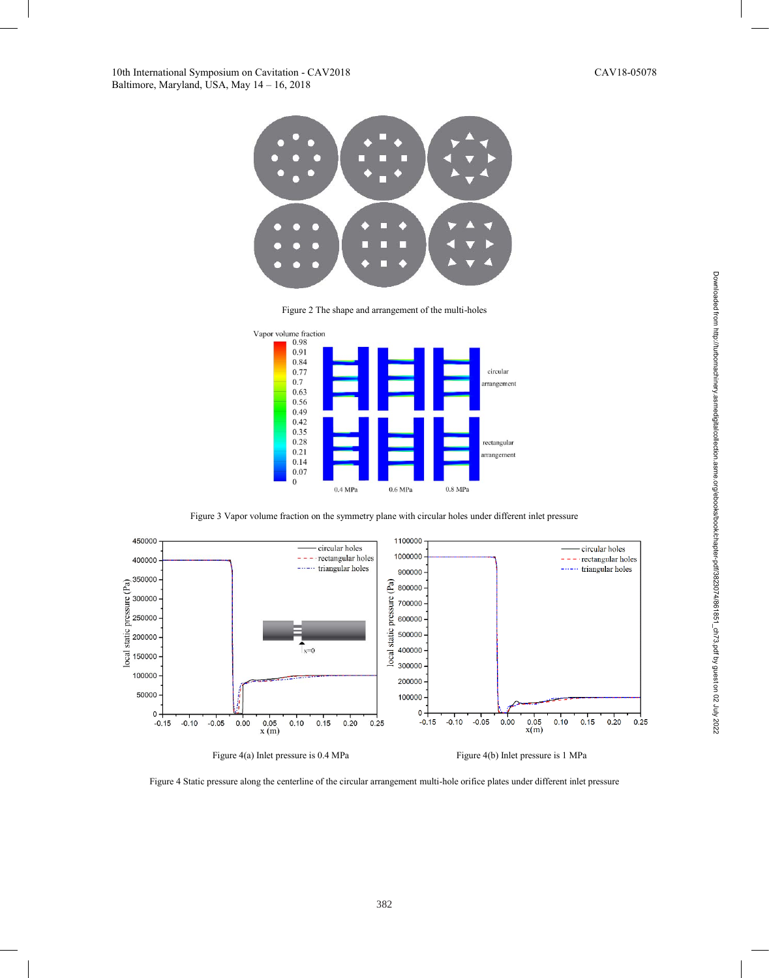

Figure 2 The shape and arrangement of the multi-holes



Figure 3 Vapor volume fraction on the symmetry plane with circular holes under different inlet pressure



Figure 4 Static pressure along the centerline of the circular arrangement multi-hole orifice plates under different inlet pressure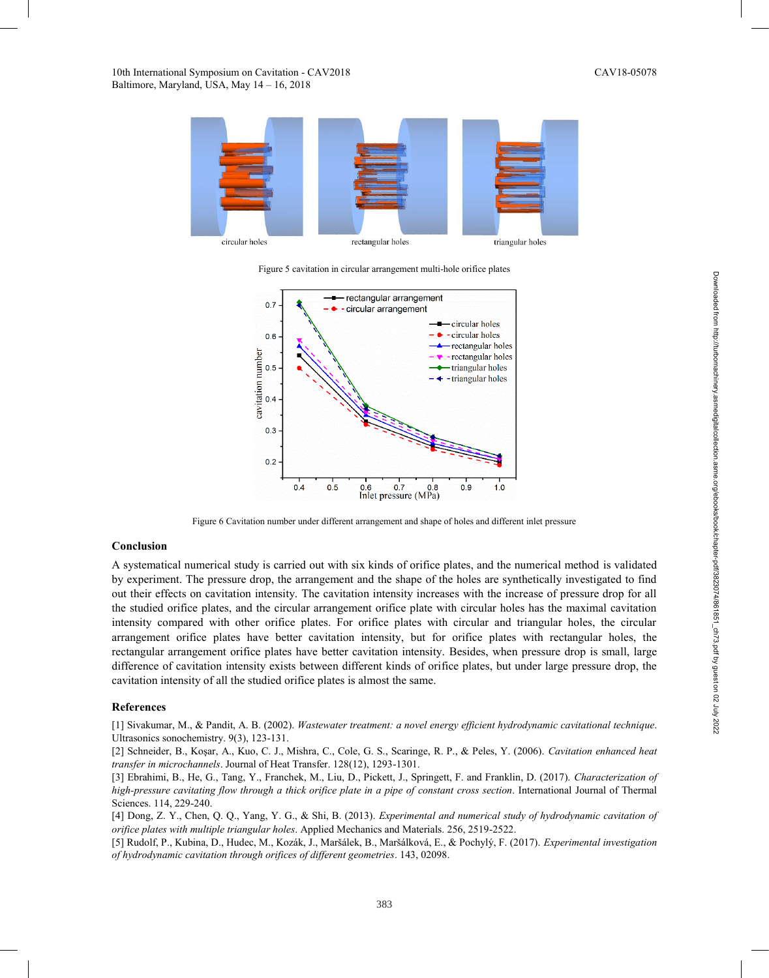

Figure 5 cavitation in circular arrangement multi-hole orifice plates



Figure 6 Cavitation number under different arrangement and shape of holes and different inlet pressure

#### **Conclusion**

A systematical numerical study is carried out with six kinds of orifice plates, and the numerical method is validated by experiment. The pressure drop, the arrangement and the shape of the holes are synthetically investigated to find out their effects on cavitation intensity. The cavitation intensity increases with the increase of pressure drop for all the studied orifice plates, and the circular arrangement orifice plate with circular holes has the maximal cavitation intensity compared with other orifice plates. For orifice plates with circular and triangular holes, the circular arrangement orifice plates have better cavitation intensity, but for orifice plates with rectangular holes, the rectangular arrangement orifice plates have better cavitation intensity. Besides, when pressure drop is small, large difference of cavitation intensity exists between different kinds of orifice plates, but under large pressure drop, the cavitation intensity of all the studied orifice plates is almost the same.

#### **References**

[1] Sivakumar, M., & Pandit, A. B. (2002). *Wastewater treatment: a novel energy efficient hydrodynamic cavitational technique*. Ultrasonics sonochemistry. 9(3), 123-131.

[2] Schneider, B., Koşar, A., Kuo, C. J., Mishra, C., Cole, G. S., Scaringe, R. P., & Peles, Y. (2006). *Cavitation enhanced heat transfer in microchannels*. Journal of Heat Transfer. 128(12), 1293-1301.

[3] Ebrahimi, B., He, G., Tang, Y., Franchek, M., Liu, D., Pickett, J., Springett, F. and Franklin, D. (2017). *Characterization of high-pressure cavitating flow through a thick orifice plate in a pipe of constant cross section*. International Journal of Thermal Sciences. 114, 229-240.

[4] Dong, Z. Y., Chen, Q. Q., Yang, Y. G., & Shi, B. (2013). *Experimental and numerical study of hydrodynamic cavitation of orifice plates with multiple triangular holes*. Applied Mechanics and Materials. 256, 2519-2522.

[5] Rudolf, P., Kubina, D., Hudec, M., Kozák, J., Maršálek, B., Maršálková, E., & Pochylý, F. (2017). *Experimental investigation of hydrodynamic cavitation through orifices of different geometries*. 143, 02098.